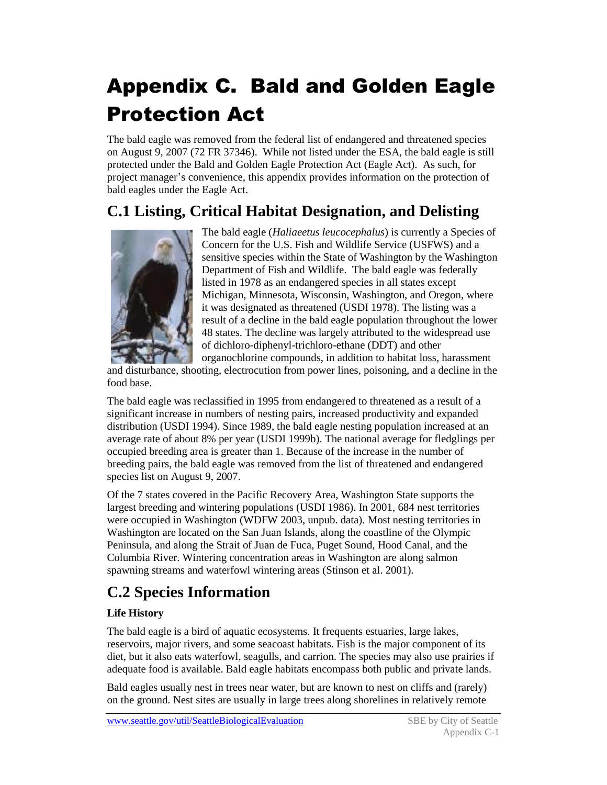# Appendix C. Bald and Golden Eagle Protection Act

The bald eagle was removed from the federal list of endangered and threatened species on August 9, 2007 (72 FR 37346). While not listed under the ESA, the bald eagle is still protected under the Bald and Golden Eagle Protection Act (Eagle Act). As such, for project manager's convenience, this appendix provides information on the protection of bald eagles under the Eagle Act.

# **C.1 Listing, Critical Habitat Designation, and Delisting**



The bald eagle (*Haliaeetus leucocephalus*) is currently a Species of Concern for the U.S. Fish and Wildlife Service (USFWS) and a sensitive species within the State of Washington by the Washington Department of Fish and Wildlife. The bald eagle was federally listed in 1978 as an endangered species in all states except Michigan, Minnesota, Wisconsin, Washington, and Oregon, where it was designated as threatened (USDI 1978). The listing was a result of a decline in the bald eagle population throughout the lower 48 states. The decline was largely attributed to the widespread use of dichloro-diphenyl-trichloro-ethane (DDT) and other organochlorine compounds, in addition to habitat loss, harassment

and disturbance, shooting, electrocution from power lines, poisoning, and a decline in the food base.

The bald eagle was reclassified in 1995 from endangered to threatened as a result of a significant increase in numbers of nesting pairs, increased productivity and expanded distribution (USDI 1994). Since 1989, the bald eagle nesting population increased at an average rate of about 8% per year (USDI 1999b). The national average for fledglings per occupied breeding area is greater than 1. Because of the increase in the number of breeding pairs, the bald eagle was removed from the list of threatened and endangered species list on August 9, 2007.

Of the 7 states covered in the Pacific Recovery Area, Washington State supports the largest breeding and wintering populations (USDI 1986). In 2001, 684 nest territories were occupied in Washington (WDFW 2003, unpub. data). Most nesting territories in Washington are located on the San Juan Islands, along the coastline of the Olympic Peninsula, and along the Strait of Juan de Fuca, Puget Sound, Hood Canal, and the Columbia River. Wintering concentration areas in Washington are along salmon spawning streams and waterfowl wintering areas (Stinson et al. 2001).

## **C.2 Species Information**

### **Life History**

The bald eagle is a bird of aquatic ecosystems. It frequents estuaries, large lakes, reservoirs, major rivers, and some seacoast habitats. Fish is the major component of its diet, but it also eats waterfowl, seagulls, and carrion. The species may also use prairies if adequate food is available. Bald eagle habitats encompass both public and private lands.

Bald eagles usually nest in trees near water, but are known to nest on cliffs and (rarely) on the ground. Nest sites are usually in large trees along shorelines in relatively remote

www.seattle.gov/util/SeattleBiologicalEvaluation SBE by City of Seattle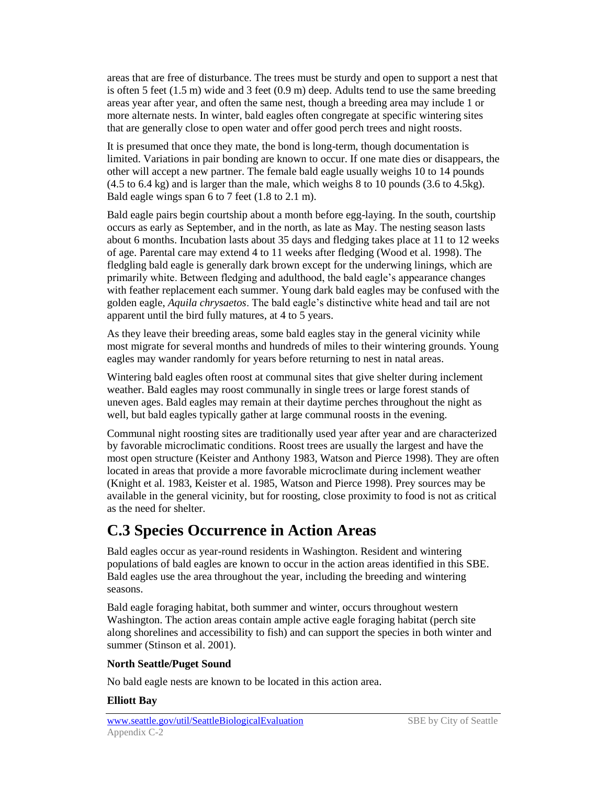areas that are free of disturbance. The trees must be sturdy and open to support a nest that is often 5 feet (1.5 m) wide and 3 feet (0.9 m) deep. Adults tend to use the same breeding areas year after year, and often the same nest, though a breeding area may include 1 or more alternate nests. In winter, bald eagles often congregate at specific wintering sites that are generally close to open water and offer good perch trees and night roosts.

It is presumed that once they mate, the bond is long-term, though documentation is limited. Variations in pair bonding are known to occur. If one mate dies or disappears, the other will accept a new partner. The female bald eagle usually weighs 10 to 14 pounds (4.5 to 6.4 kg) and is larger than the male, which weighs 8 to 10 pounds (3.6 to 4.5kg). Bald eagle wings span 6 to 7 feet (1.8 to 2.1 m).

Bald eagle pairs begin courtship about a month before egg-laying. In the south, courtship occurs as early as September, and in the north, as late as May. The nesting season lasts about 6 months. Incubation lasts about 35 days and fledging takes place at 11 to 12 weeks of age. Parental care may extend 4 to 11 weeks after fledging (Wood et al. 1998). The fledgling bald eagle is generally dark brown except for the underwing linings, which are primarily white. Between fledging and adulthood, the bald eagle's appearance changes with feather replacement each summer. Young dark bald eagles may be confused with the golden eagle, *Aquila chrysaetos*. The bald eagle's distinctive white head and tail are not apparent until the bird fully matures, at 4 to 5 years.

As they leave their breeding areas, some bald eagles stay in the general vicinity while most migrate for several months and hundreds of miles to their wintering grounds. Young eagles may wander randomly for years before returning to nest in natal areas.

Wintering bald eagles often roost at communal sites that give shelter during inclement weather. Bald eagles may roost communally in single trees or large forest stands of uneven ages. Bald eagles may remain at their daytime perches throughout the night as well, but bald eagles typically gather at large communal roosts in the evening.

Communal night roosting sites are traditionally used year after year and are characterized by favorable microclimatic conditions. Roost trees are usually the largest and have the most open structure (Keister and Anthony 1983, Watson and Pierce 1998). They are often located in areas that provide a more favorable microclimate during inclement weather (Knight et al. 1983, Keister et al. 1985, Watson and Pierce 1998). Prey sources may be available in the general vicinity, but for roosting, close proximity to food is not as critical as the need for shelter.

### **C.3 Species Occurrence in Action Areas**

Bald eagles occur as year-round residents in Washington. Resident and wintering populations of bald eagles are known to occur in the action areas identified in this SBE. Bald eagles use the area throughout the year, including the breeding and wintering seasons.

Bald eagle foraging habitat, both summer and winter, occurs throughout western Washington. The action areas contain ample active eagle foraging habitat (perch site along shorelines and accessibility to fish) and can support the species in both winter and summer (Stinson et al. 2001).

#### **North Seattle/Puget Sound**

No bald eagle nests are known to be located in this action area.

### **Elliott Bay**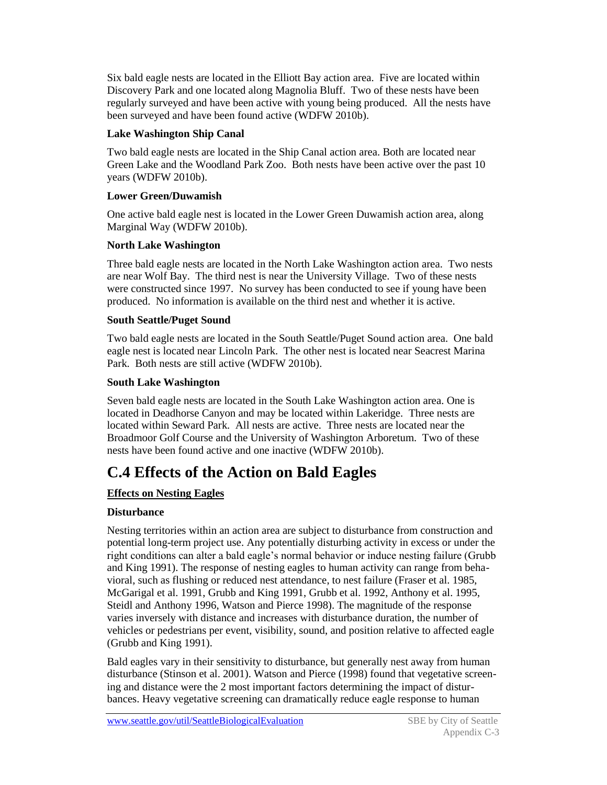Six bald eagle nests are located in the Elliott Bay action area. Five are located within Discovery Park and one located along Magnolia Bluff. Two of these nests have been regularly surveyed and have been active with young being produced. All the nests have been surveyed and have been found active (WDFW 2010b).

### **Lake Washington Ship Canal**

Two bald eagle nests are located in the Ship Canal action area. Both are located near Green Lake and the Woodland Park Zoo. Both nests have been active over the past 10 years (WDFW 2010b).

#### **Lower Green/Duwamish**

One active bald eagle nest is located in the Lower Green Duwamish action area, along Marginal Way (WDFW 2010b).

### **North Lake Washington**

Three bald eagle nests are located in the North Lake Washington action area. Two nests are near Wolf Bay. The third nest is near the University Village. Two of these nests were constructed since 1997. No survey has been conducted to see if young have been produced. No information is available on the third nest and whether it is active.

### **South Seattle/Puget Sound**

Two bald eagle nests are located in the South Seattle/Puget Sound action area. One bald eagle nest is located near Lincoln Park. The other nest is located near Seacrest Marina Park. Both nests are still active (WDFW 2010b).

### **South Lake Washington**

Seven bald eagle nests are located in the South Lake Washington action area. One is located in Deadhorse Canyon and may be located within Lakeridge. Three nests are located within Seward Park. All nests are active. Three nests are located near the Broadmoor Golf Course and the University of Washington Arboretum. Two of these nests have been found active and one inactive (WDFW 2010b).

### **C.4 Effects of the Action on Bald Eagles**

### **Effects on Nesting Eagles**

### **Disturbance**

Nesting territories within an action area are subject to disturbance from construction and potential long-term project use. Any potentially disturbing activity in excess or under the right conditions can alter a bald eagle's normal behavior or induce nesting failure (Grubb and King 1991). The response of nesting eagles to human activity can range from behavioral, such as flushing or reduced nest attendance, to nest failure (Fraser et al. 1985, McGarigal et al. 1991, Grubb and King 1991, Grubb et al. 1992, Anthony et al. 1995, Steidl and Anthony 1996, Watson and Pierce 1998). The magnitude of the response varies inversely with distance and increases with disturbance duration, the number of vehicles or pedestrians per event, visibility, sound, and position relative to affected eagle (Grubb and King 1991).

Bald eagles vary in their sensitivity to disturbance, but generally nest away from human disturbance (Stinson et al. 2001). Watson and Pierce (1998) found that vegetative screening and distance were the 2 most important factors determining the impact of disturbances. Heavy vegetative screening can dramatically reduce eagle response to human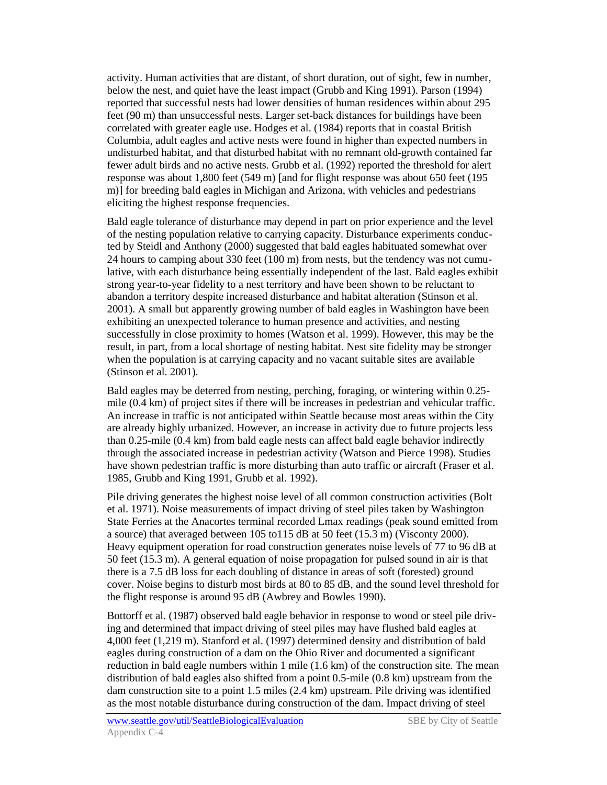activity. Human activities that are distant, of short duration, out of sight, few in number, below the nest, and quiet have the least impact (Grubb and King 1991). Parson (1994) reported that successful nests had lower densities of human residences within about 295 feet (90 m) than unsuccessful nests. Larger set-back distances for buildings have been correlated with greater eagle use. Hodges et al. (1984) reports that in coastal British Columbia, adult eagles and active nests were found in higher than expected numbers in undisturbed habitat, and that disturbed habitat with no remnant old-growth contained far fewer adult birds and no active nests. Grubb et al. (1992) reported the threshold for alert response was about 1,800 feet (549 m) [and for flight response was about 650 feet (195 m)] for breeding bald eagles in Michigan and Arizona, with vehicles and pedestrians eliciting the highest response frequencies.

Bald eagle tolerance of disturbance may depend in part on prior experience and the level of the nesting population relative to carrying capacity. Disturbance experiments conducted by Steidl and Anthony (2000) suggested that bald eagles habituated somewhat over 24 hours to camping about 330 feet (100 m) from nests, but the tendency was not cumulative, with each disturbance being essentially independent of the last. Bald eagles exhibit strong year-to-year fidelity to a nest territory and have been shown to be reluctant to abandon a territory despite increased disturbance and habitat alteration (Stinson et al. 2001). A small but apparently growing number of bald eagles in Washington have been exhibiting an unexpected tolerance to human presence and activities, and nesting successfully in close proximity to homes (Watson et al. 1999). However, this may be the result, in part, from a local shortage of nesting habitat. Nest site fidelity may be stronger when the population is at carrying capacity and no vacant suitable sites are available (Stinson et al. 2001).

Bald eagles may be deterred from nesting, perching, foraging, or wintering within 0.25 mile (0.4 km) of project sites if there will be increases in pedestrian and vehicular traffic. An increase in traffic is not anticipated within Seattle because most areas within the City are already highly urbanized. However, an increase in activity due to future projects less than 0.25-mile (0.4 km) from bald eagle nests can affect bald eagle behavior indirectly through the associated increase in pedestrian activity (Watson and Pierce 1998). Studies have shown pedestrian traffic is more disturbing than auto traffic or aircraft (Fraser et al. 1985, Grubb and King 1991, Grubb et al. 1992).

Pile driving generates the highest noise level of all common construction activities (Bolt et al. 1971). Noise measurements of impact driving of steel piles taken by Washington State Ferries at the Anacortes terminal recorded Lmax readings (peak sound emitted from a source) that averaged between 105 to115 dB at 50 feet (15.3 m) (Visconty 2000). Heavy equipment operation for road construction generates noise levels of 77 to 96 dB at 50 feet (15.3 m). A general equation of noise propagation for pulsed sound in air is that there is a 7.5 dB loss for each doubling of distance in areas of soft (forested) ground cover. Noise begins to disturb most birds at 80 to 85 dB, and the sound level threshold for the flight response is around 95 dB (Awbrey and Bowles 1990).

Bottorff et al. (1987) observed bald eagle behavior in response to wood or steel pile driving and determined that impact driving of steel piles may have flushed bald eagles at 4,000 feet (1,219 m). Stanford et al. (1997) determined density and distribution of bald eagles during construction of a dam on the Ohio River and documented a significant reduction in bald eagle numbers within 1 mile (1.6 km) of the construction site. The mean distribution of bald eagles also shifted from a point 0.5-mile (0.8 km) upstream from the dam construction site to a point 1.5 miles (2.4 km) upstream. Pile driving was identified as the most notable disturbance during construction of the dam. Impact driving of steel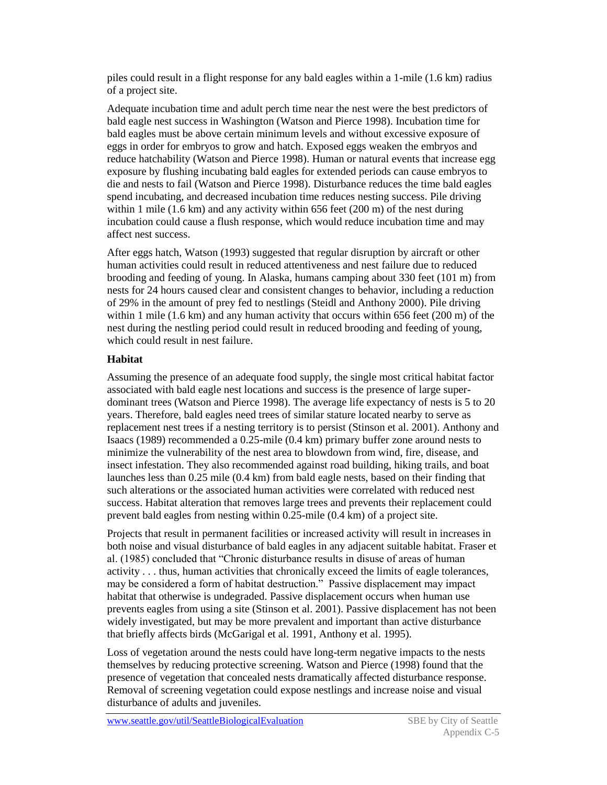piles could result in a flight response for any bald eagles within a 1-mile (1.6 km) radius of a project site.

Adequate incubation time and adult perch time near the nest were the best predictors of bald eagle nest success in Washington (Watson and Pierce 1998). Incubation time for bald eagles must be above certain minimum levels and without excessive exposure of eggs in order for embryos to grow and hatch. Exposed eggs weaken the embryos and reduce hatchability (Watson and Pierce 1998). Human or natural events that increase egg exposure by flushing incubating bald eagles for extended periods can cause embryos to die and nests to fail (Watson and Pierce 1998). Disturbance reduces the time bald eagles spend incubating, and decreased incubation time reduces nesting success. Pile driving within 1 mile  $(1.6 \text{ km})$  and any activity within 656 feet  $(200 \text{ m})$  of the nest during incubation could cause a flush response, which would reduce incubation time and may affect nest success.

After eggs hatch, Watson (1993) suggested that regular disruption by aircraft or other human activities could result in reduced attentiveness and nest failure due to reduced brooding and feeding of young. In Alaska, humans camping about 330 feet (101 m) from nests for 24 hours caused clear and consistent changes to behavior, including a reduction of 29% in the amount of prey fed to nestlings (Steidl and Anthony 2000). Pile driving within 1 mile (1.6 km) and any human activity that occurs within 656 feet (200 m) of the nest during the nestling period could result in reduced brooding and feeding of young, which could result in nest failure.

### **Habitat**

Assuming the presence of an adequate food supply, the single most critical habitat factor associated with bald eagle nest locations and success is the presence of large superdominant trees (Watson and Pierce 1998). The average life expectancy of nests is 5 to 20 years. Therefore, bald eagles need trees of similar stature located nearby to serve as replacement nest trees if a nesting territory is to persist (Stinson et al. 2001). Anthony and Isaacs (1989) recommended a 0.25-mile (0.4 km) primary buffer zone around nests to minimize the vulnerability of the nest area to blowdown from wind, fire, disease, and insect infestation. They also recommended against road building, hiking trails, and boat launches less than 0.25 mile (0.4 km) from bald eagle nests, based on their finding that such alterations or the associated human activities were correlated with reduced nest success. Habitat alteration that removes large trees and prevents their replacement could prevent bald eagles from nesting within 0.25-mile (0.4 km) of a project site.

Projects that result in permanent facilities or increased activity will result in increases in both noise and visual disturbance of bald eagles in any adjacent suitable habitat. Fraser et al. (1985) concluded that "Chronic disturbance results in disuse of areas of human activity . . . thus, human activities that chronically exceed the limits of eagle tolerances, may be considered a form of habitat destruction." Passive displacement may impact habitat that otherwise is undegraded. Passive displacement occurs when human use prevents eagles from using a site (Stinson et al. 2001). Passive displacement has not been widely investigated, but may be more prevalent and important than active disturbance that briefly affects birds (McGarigal et al. 1991, Anthony et al. 1995).

Loss of vegetation around the nests could have long-term negative impacts to the nests themselves by reducing protective screening. Watson and Pierce (1998) found that the presence of vegetation that concealed nests dramatically affected disturbance response. Removal of screening vegetation could expose nestlings and increase noise and visual disturbance of adults and juveniles.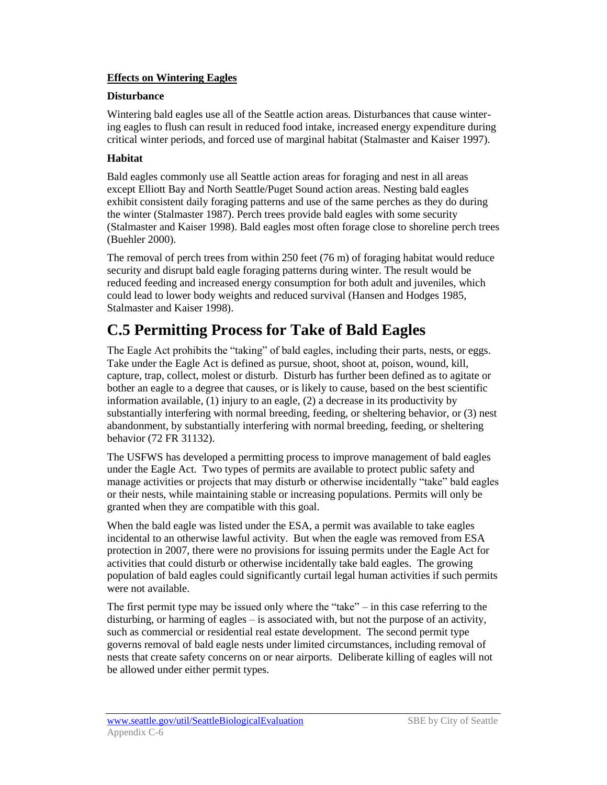### **Effects on Wintering Eagles**

#### **Disturbance**

Wintering bald eagles use all of the Seattle action areas. Disturbances that cause wintering eagles to flush can result in reduced food intake, increased energy expenditure during critical winter periods, and forced use of marginal habitat (Stalmaster and Kaiser 1997).

### **Habitat**

Bald eagles commonly use all Seattle action areas for foraging and nest in all areas except Elliott Bay and North Seattle/Puget Sound action areas. Nesting bald eagles exhibit consistent daily foraging patterns and use of the same perches as they do during the winter (Stalmaster 1987). Perch trees provide bald eagles with some security (Stalmaster and Kaiser 1998). Bald eagles most often forage close to shoreline perch trees (Buehler 2000).

The removal of perch trees from within 250 feet (76 m) of foraging habitat would reduce security and disrupt bald eagle foraging patterns during winter. The result would be reduced feeding and increased energy consumption for both adult and juveniles, which could lead to lower body weights and reduced survival (Hansen and Hodges 1985, Stalmaster and Kaiser 1998).

### **C.5 Permitting Process for Take of Bald Eagles**

The Eagle Act prohibits the "taking" of bald eagles, including their parts, nests, or eggs. Take under the Eagle Act is defined as pursue, shoot, shoot at, poison, wound, kill, capture, trap, collect, molest or disturb. Disturb has further been defined as to agitate or bother an eagle to a degree that causes, or is likely to cause, based on the best scientific information available, (1) injury to an eagle, (2) a decrease in its productivity by substantially interfering with normal breeding, feeding, or sheltering behavior, or (3) nest abandonment, by substantially interfering with normal breeding, feeding, or sheltering behavior (72 FR 31132).

The USFWS has developed a permitting process to improve management of bald eagles under the Eagle Act. Two types of permits are available to protect public safety and manage activities or projects that may disturb or otherwise incidentally "take" bald eagles or their nests, while maintaining stable or increasing populations. Permits will only be granted when they are compatible with this goal.

When the bald eagle was listed under the ESA, a permit was available to take eagles incidental to an otherwise lawful activity. But when the eagle was removed from ESA protection in 2007, there were no provisions for issuing permits under the Eagle Act for activities that could disturb or otherwise incidentally take bald eagles. The growing population of bald eagles could significantly curtail legal human activities if such permits were not available.

The first permit type may be issued only where the "take" – in this case referring to the disturbing, or harming of eagles – is associated with, but not the purpose of an activity, such as commercial or residential real estate development. The second permit type governs removal of bald eagle nests under limited circumstances, including removal of nests that create safety concerns on or near airports. Deliberate killing of eagles will not be allowed under either permit types.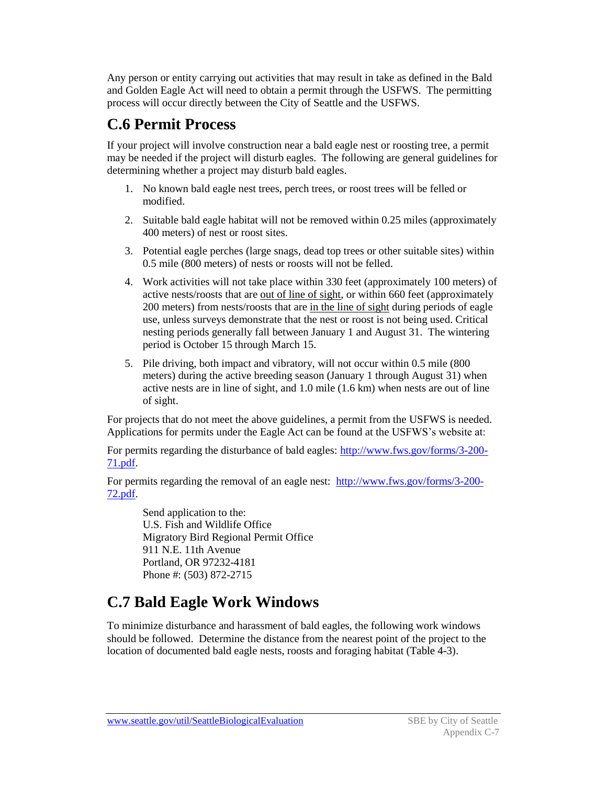Any person or entity carrying out activities that may result in take as defined in the Bald and Golden Eagle Act will need to obtain a permit through the USFWS. The permitting process will occur directly between the City of Seattle and the USFWS.

# **C.6 Permit Process**

If your project will involve construction near a bald eagle nest or roosting tree, a permit may be needed if the project will disturb eagles. The following are general guidelines for determining whether a project may disturb bald eagles.

- 1. No known bald eagle nest trees, perch trees, or roost trees will be felled or modified.
- 2. Suitable bald eagle habitat will not be removed within 0.25 miles (approximately 400 meters) of nest or roost sites.
- 3. Potential eagle perches (large snags, dead top trees or other suitable sites) within 0.5 mile (800 meters) of nests or roosts will not be felled.
- 4. Work activities will not take place within 330 feet (approximately 100 meters) of active nests/roosts that are <u>out of line of sight</u>, or within 660 feet (approximately 200 meters) from nests/roosts that are in the line of sight during periods of eagle use, unless surveys demonstrate that the nest or roost is not being used. Critical nesting periods generally fall between January 1 and August 31. The wintering period is October 15 through March 15.
- 5. Pile driving, both impact and vibratory, will not occur within 0.5 mile (800 meters) during the active breeding season (January 1 through August 31) when active nests are in line of sight, and 1.0 mile (1.6 km) when nests are out of line of sight.

For projects that do not meet the above guidelines, a permit from the USFWS is needed. Applications for permits under the Eagle Act can be found at the USFWS's website at:

For permits regarding the disturbance of bald eagles: [http://www.fws.gov/forms/3-200-](http://www.fws.gov/forms/3-200-71.pdf) [71.pdf.](http://www.fws.gov/forms/3-200-71.pdf)

For permits regarding the removal of an eagle nest: [http://www.fws.gov/forms/3-200-](http://www.fws.gov/forms/3-200-72.pdf) [72.pdf.](http://www.fws.gov/forms/3-200-72.pdf)

Send application to the: U.S. Fish and Wildlife Office Migratory Bird Regional Permit Office 911 N.E. 11th Avenue Portland, OR 97232-4181 Phone #: (503) 872-2715

# **C.7 Bald Eagle Work Windows**

To minimize disturbance and harassment of bald eagles, the following work windows should be followed. Determine the distance from the nearest point of the project to the location of documented bald eagle nests, roosts and foraging habitat (Table 4-3).